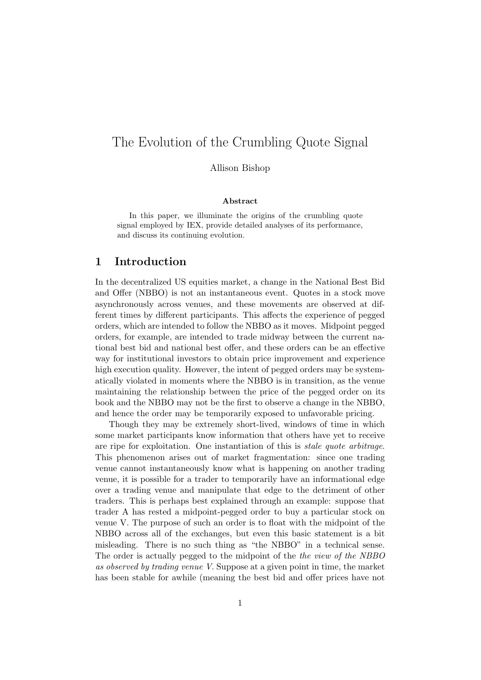# The Evolution of the Crumbling Quote Signal

Allison Bishop

#### Abstract

In this paper, we illuminate the origins of the crumbling quote signal employed by IEX, provide detailed analyses of its performance, and discuss its continuing evolution.

### 1 Introduction

In the decentralized US equities market, a change in the National Best Bid and Offer (NBBO) is not an instantaneous event. Quotes in a stock move asynchronously across venues, and these movements are observed at different times by different participants. This affects the experience of pegged orders, which are intended to follow the NBBO as it moves. Midpoint pegged orders, for example, are intended to trade midway between the current national best bid and national best offer, and these orders can be an effective way for institutional investors to obtain price improvement and experience high execution quality. However, the intent of pegged orders may be systematically violated in moments where the NBBO is in transition, as the venue maintaining the relationship between the price of the pegged order on its book and the NBBO may not be the first to observe a change in the NBBO, and hence the order may be temporarily exposed to unfavorable pricing.

Though they may be extremely short-lived, windows of time in which some market participants know information that others have yet to receive are ripe for exploitation. One instantiation of this is stale quote arbitrage. This phenomenon arises out of market fragmentation: since one trading venue cannot instantaneously know what is happening on another trading venue, it is possible for a trader to temporarily have an informational edge over a trading venue and manipulate that edge to the detriment of other traders. This is perhaps best explained through an example: suppose that trader A has rested a midpoint-pegged order to buy a particular stock on venue V. The purpose of such an order is to float with the midpoint of the NBBO across all of the exchanges, but even this basic statement is a bit misleading. There is no such thing as "the NBBO" in a technical sense. The order is actually pegged to the midpoint of the the view of the NBBO as observed by trading venue V. Suppose at a given point in time, the market has been stable for awhile (meaning the best bid and offer prices have not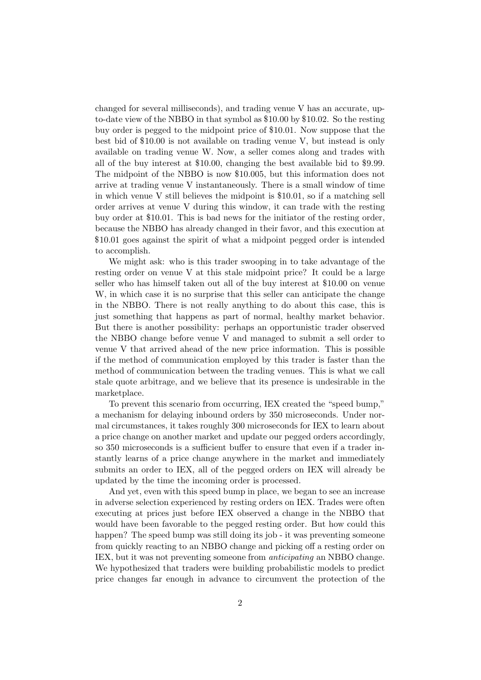changed for several milliseconds), and trading venue V has an accurate, upto-date view of the NBBO in that symbol as \$10.00 by \$10.02. So the resting buy order is pegged to the midpoint price of \$10.01. Now suppose that the best bid of \$10.00 is not available on trading venue V, but instead is only available on trading venue W. Now, a seller comes along and trades with all of the buy interest at \$10.00, changing the best available bid to \$9.99. The midpoint of the NBBO is now \$10.005, but this information does not arrive at trading venue V instantaneously. There is a small window of time in which venue V still believes the midpoint is \$10.01, so if a matching sell order arrives at venue V during this window, it can trade with the resting buy order at \$10.01. This is bad news for the initiator of the resting order, because the NBBO has already changed in their favor, and this execution at \$10.01 goes against the spirit of what a midpoint pegged order is intended to accomplish.

We might ask: who is this trader swooping in to take advantage of the resting order on venue V at this stale midpoint price? It could be a large seller who has himself taken out all of the buy interest at \$10.00 on venue W, in which case it is no surprise that this seller can anticipate the change in the NBBO. There is not really anything to do about this case, this is just something that happens as part of normal, healthy market behavior. But there is another possibility: perhaps an opportunistic trader observed the NBBO change before venue V and managed to submit a sell order to venue V that arrived ahead of the new price information. This is possible if the method of communication employed by this trader is faster than the method of communication between the trading venues. This is what we call stale quote arbitrage, and we believe that its presence is undesirable in the marketplace.

To prevent this scenario from occurring, IEX created the "speed bump," a mechanism for delaying inbound orders by 350 microseconds. Under normal circumstances, it takes roughly 300 microseconds for IEX to learn about a price change on another market and update our pegged orders accordingly, so 350 microseconds is a sufficient buffer to ensure that even if a trader instantly learns of a price change anywhere in the market and immediately submits an order to IEX, all of the pegged orders on IEX will already be updated by the time the incoming order is processed.

And yet, even with this speed bump in place, we began to see an increase in adverse selection experienced by resting orders on IEX. Trades were often executing at prices just before IEX observed a change in the NBBO that would have been favorable to the pegged resting order. But how could this happen? The speed bump was still doing its job - it was preventing someone from quickly reacting to an NBBO change and picking off a resting order on IEX, but it was not preventing someone from anticipating an NBBO change. We hypothesized that traders were building probabilistic models to predict price changes far enough in advance to circumvent the protection of the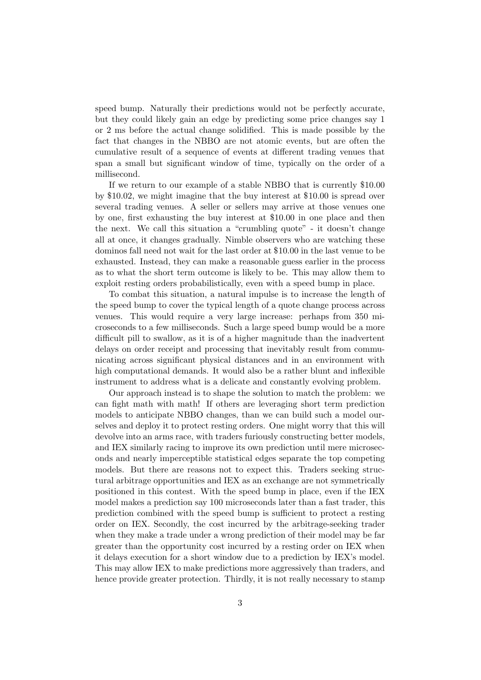speed bump. Naturally their predictions would not be perfectly accurate, but they could likely gain an edge by predicting some price changes say 1 or 2 ms before the actual change solidified. This is made possible by the fact that changes in the NBBO are not atomic events, but are often the cumulative result of a sequence of events at different trading venues that span a small but significant window of time, typically on the order of a millisecond.

If we return to our example of a stable NBBO that is currently \$10.00 by \$10.02, we might imagine that the buy interest at \$10.00 is spread over several trading venues. A seller or sellers may arrive at those venues one by one, first exhausting the buy interest at \$10.00 in one place and then the next. We call this situation a "crumbling quote" - it doesn't change all at once, it changes gradually. Nimble observers who are watching these dominos fall need not wait for the last order at \$10.00 in the last venue to be exhausted. Instead, they can make a reasonable guess earlier in the process as to what the short term outcome is likely to be. This may allow them to exploit resting orders probabilistically, even with a speed bump in place.

To combat this situation, a natural impulse is to increase the length of the speed bump to cover the typical length of a quote change process across venues. This would require a very large increase: perhaps from 350 microseconds to a few milliseconds. Such a large speed bump would be a more difficult pill to swallow, as it is of a higher magnitude than the inadvertent delays on order receipt and processing that inevitably result from communicating across significant physical distances and in an environment with high computational demands. It would also be a rather blunt and inflexible instrument to address what is a delicate and constantly evolving problem.

Our approach instead is to shape the solution to match the problem: we can fight math with math! If others are leveraging short term prediction models to anticipate NBBO changes, than we can build such a model ourselves and deploy it to protect resting orders. One might worry that this will devolve into an arms race, with traders furiously constructing better models, and IEX similarly racing to improve its own prediction until mere microseconds and nearly imperceptible statistical edges separate the top competing models. But there are reasons not to expect this. Traders seeking structural arbitrage opportunities and IEX as an exchange are not symmetrically positioned in this contest. With the speed bump in place, even if the IEX model makes a prediction say 100 microseconds later than a fast trader, this prediction combined with the speed bump is sufficient to protect a resting order on IEX. Secondly, the cost incurred by the arbitrage-seeking trader when they make a trade under a wrong prediction of their model may be far greater than the opportunity cost incurred by a resting order on IEX when it delays execution for a short window due to a prediction by IEX's model. This may allow IEX to make predictions more aggressively than traders, and hence provide greater protection. Thirdly, it is not really necessary to stamp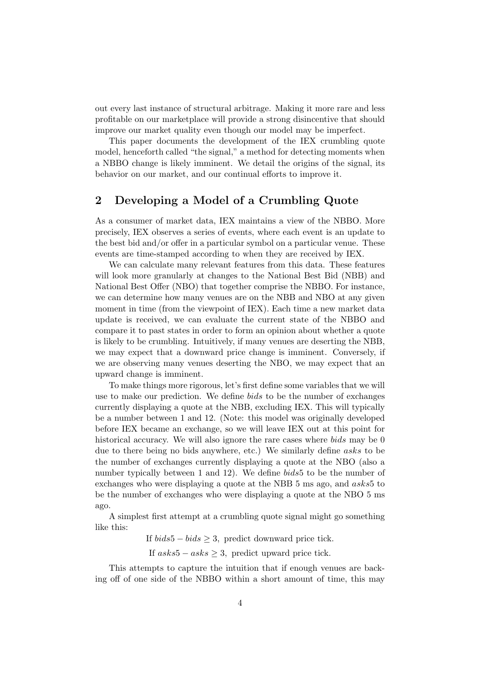out every last instance of structural arbitrage. Making it more rare and less profitable on our marketplace will provide a strong disincentive that should improve our market quality even though our model may be imperfect.

This paper documents the development of the IEX crumbling quote model, henceforth called "the signal," a method for detecting moments when a NBBO change is likely imminent. We detail the origins of the signal, its behavior on our market, and our continual efforts to improve it.

# 2 Developing a Model of a Crumbling Quote

As a consumer of market data, IEX maintains a view of the NBBO. More precisely, IEX observes a series of events, where each event is an update to the best bid and/or offer in a particular symbol on a particular venue. These events are time-stamped according to when they are received by IEX.

We can calculate many relevant features from this data. These features will look more granularly at changes to the National Best Bid (NBB) and National Best Offer (NBO) that together comprise the NBBO. For instance, we can determine how many venues are on the NBB and NBO at any given moment in time (from the viewpoint of IEX). Each time a new market data update is received, we can evaluate the current state of the NBBO and compare it to past states in order to form an opinion about whether a quote is likely to be crumbling. Intuitively, if many venues are deserting the NBB, we may expect that a downward price change is imminent. Conversely, if we are observing many venues deserting the NBO, we may expect that an upward change is imminent.

To make things more rigorous, let's first define some variables that we will use to make our prediction. We define bids to be the number of exchanges currently displaying a quote at the NBB, excluding IEX. This will typically be a number between 1 and 12. (Note: this model was originally developed before IEX became an exchange, so we will leave IEX out at this point for historical accuracy. We will also ignore the rare cases where *bids* may be 0 due to there being no bids anywhere, etc.) We similarly define asks to be the number of exchanges currently displaying a quote at the NBO (also a number typically between 1 and 12). We define bids5 to be the number of exchanges who were displaying a quote at the NBB 5 ms ago, and asks5 to be the number of exchanges who were displaying a quote at the NBO 5 ms ago.

A simplest first attempt at a crumbling quote signal might go something like this:

If  $bids5 - bids \geq 3$ , predict downward price tick.

If  $asks5 - asks \geq 3$ , predict upward price tick.

This attempts to capture the intuition that if enough venues are backing off of one side of the NBBO within a short amount of time, this may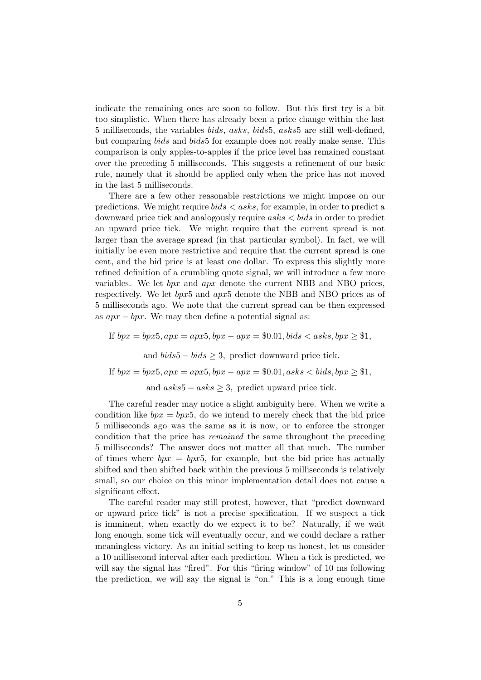indicate the remaining ones are soon to follow. But this first try is a bit too simplistic. When there has already been a price change within the last 5 milliseconds, the variables bids, asks, bids5, asks5 are still well-defined, but comparing bids and bids5 for example does not really make sense. This comparison is only apples-to-apples if the price level has remained constant over the preceding 5 milliseconds. This suggests a refinement of our basic rule, namely that it should be applied only when the price has not moved in the last 5 milliseconds.

There are a few other reasonable restrictions we might impose on our predictions. We might require  $bids < asks$ , for example, in order to predict a downward price tick and analogously require asks < bids in order to predict an upward price tick. We might require that the current spread is not larger than the average spread (in that particular symbol). In fact, we will initially be even more restrictive and require that the current spread is one cent, and the bid price is at least one dollar. To express this slightly more refined definition of a crumbling quote signal, we will introduce a few more variables. We let  $bpx$  and  $apx$  denote the current NBB and NBO prices, respectively. We let bpx5 and apx5 denote the NBB and NBO prices as of 5 milliseconds ago. We note that the current spread can be then expressed as  $apx - bpx$ . We may then define a potential signal as:

If  $bpx = bpx5, apx = apx5, bpx - apx = $0.01, bids < asks, bpx \ge $1,$ 

and  $bids5 - bids \geq 3$ , predict downward price tick.

If  $bpx = bpx5, apx = apx5, bpx - apx = $0.01, asks < bids, bpx \ge $1,$ 

and  $asks5 - asks \geq 3$ , predict upward price tick.

The careful reader may notice a slight ambiguity here. When we write a condition like  $bpx = bpx5$ , do we intend to merely check that the bid price 5 milliseconds ago was the same as it is now, or to enforce the stronger condition that the price has remained the same throughout the preceding 5 milliseconds? The answer does not matter all that much. The number of times where  $bpx = bpx5$ , for example, but the bid price has actually shifted and then shifted back within the previous 5 milliseconds is relatively small, so our choice on this minor implementation detail does not cause a significant effect.

The careful reader may still protest, however, that "predict downward or upward price tick" is not a precise specification. If we suspect a tick is imminent, when exactly do we expect it to be? Naturally, if we wait long enough, some tick will eventually occur, and we could declare a rather meaningless victory. As an initial setting to keep us honest, let us consider a 10 millisecond interval after each prediction. When a tick is predicted, we will say the signal has "fired". For this "firing window" of 10 ms following the prediction, we will say the signal is "on." This is a long enough time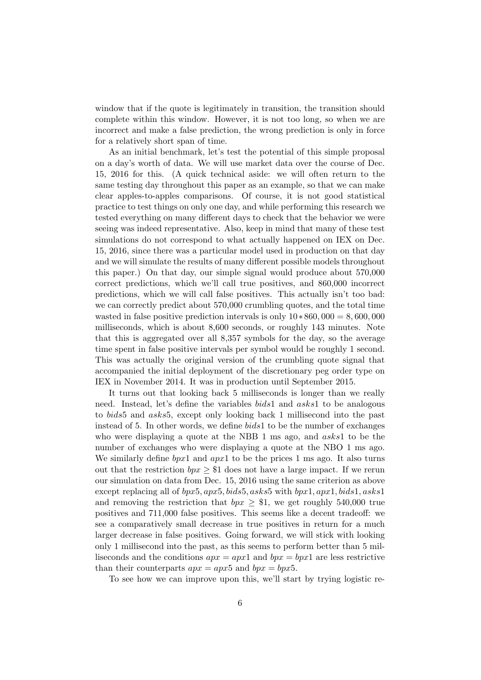window that if the quote is legitimately in transition, the transition should complete within this window. However, it is not too long, so when we are incorrect and make a false prediction, the wrong prediction is only in force for a relatively short span of time.

As an initial benchmark, let's test the potential of this simple proposal on a day's worth of data. We will use market data over the course of Dec. 15, 2016 for this. (A quick technical aside: we will often return to the same testing day throughout this paper as an example, so that we can make clear apples-to-apples comparisons. Of course, it is not good statistical practice to test things on only one day, and while performing this research we tested everything on many different days to check that the behavior we were seeing was indeed representative. Also, keep in mind that many of these test simulations do not correspond to what actually happened on IEX on Dec. 15, 2016, since there was a particular model used in production on that day and we will simulate the results of many different possible models throughout this paper.) On that day, our simple signal would produce about 570,000 correct predictions, which we'll call true positives, and 860,000 incorrect predictions, which we will call false positives. This actually isn't too bad: we can correctly predict about 570,000 crumbling quotes, and the total time wasted in false positive prediction intervals is only  $10 * 860,000 = 8,600,000$ milliseconds, which is about 8,600 seconds, or roughly 143 minutes. Note that this is aggregated over all 8,357 symbols for the day, so the average time spent in false positive intervals per symbol would be roughly 1 second. This was actually the original version of the crumbling quote signal that accompanied the initial deployment of the discretionary peg order type on IEX in November 2014. It was in production until September 2015.

It turns out that looking back 5 milliseconds is longer than we really need. Instead, let's define the variables bids1 and asks1 to be analogous to bids5 and asks5, except only looking back 1 millisecond into the past instead of 5. In other words, we define bids1 to be the number of exchanges who were displaying a quote at the NBB 1 ms ago, and asks1 to be the number of exchanges who were displaying a quote at the NBO 1 ms ago. We similarly define  $bpx1$  and  $apx1$  to be the prices 1 ms ago. It also turns out that the restriction  $bpx \geq $1$  does not have a large impact. If we rerun our simulation on data from Dec. 15, 2016 using the same criterion as above except replacing all of  $bpx5, apx5, bids5, asks5$  with  $bpx1, apx1, bids1, asks1$ and removing the restriction that  $bpx > $1$ , we get roughly 540,000 true positives and 711,000 false positives. This seems like a decent tradeoff: we see a comparatively small decrease in true positives in return for a much larger decrease in false positives. Going forward, we will stick with looking only 1 millisecond into the past, as this seems to perform better than 5 milliseconds and the conditions  $apx = apx1$  and  $bpx = bpx1$  are less restrictive than their counterparts  $apx = apx5$  and  $bpx = bpx5$ .

To see how we can improve upon this, we'll start by trying logistic re-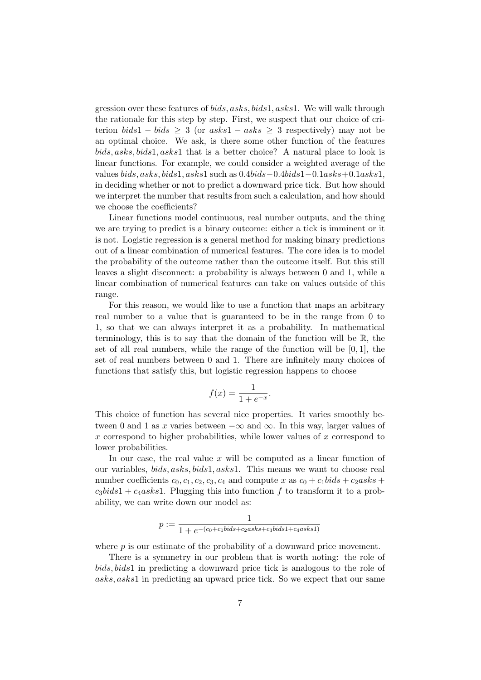gression over these features of bids, asks, bids1, asks1. We will walk through the rationale for this step by step. First, we suspect that our choice of criterion bids1 – bids  $\geq$  3 (or asks1 – asks  $\geq$  3 respectively) may not be an optimal choice. We ask, is there some other function of the features bids, asks, bids1, asks1 that is a better choice? A natural place to look is linear functions. For example, we could consider a weighted average of the values bids, asks, bids1, asks1 such as  $0.4bids-0.4bids1-0.1asks+0.1asks1$ , in deciding whether or not to predict a downward price tick. But how should we interpret the number that results from such a calculation, and how should we choose the coefficients?

Linear functions model continuous, real number outputs, and the thing we are trying to predict is a binary outcome: either a tick is imminent or it is not. Logistic regression is a general method for making binary predictions out of a linear combination of numerical features. The core idea is to model the probability of the outcome rather than the outcome itself. But this still leaves a slight disconnect: a probability is always between 0 and 1, while a linear combination of numerical features can take on values outside of this range.

For this reason, we would like to use a function that maps an arbitrary real number to a value that is guaranteed to be in the range from 0 to 1, so that we can always interpret it as a probability. In mathematical terminology, this is to say that the domain of the function will be R, the set of all real numbers, while the range of the function will be  $[0, 1]$ , the set of real numbers between 0 and 1. There are infinitely many choices of functions that satisfy this, but logistic regression happens to choose

$$
f(x) = \frac{1}{1 + e^{-x}}.
$$

This choice of function has several nice properties. It varies smoothly between 0 and 1 as x varies between  $-\infty$  and  $\infty$ . In this way, larger values of x correspond to higher probabilities, while lower values of x correspond to lower probabilities.

In our case, the real value  $x$  will be computed as a linear function of our variables, bids, asks, bids1, asks1. This means we want to choose real number coefficients  $c_0, c_1, c_2, c_3, c_4$  and compute x as  $c_0 + c_1bids + c_2asks + c_4bids$  $c_3bids1 + c_4asks1$ . Plugging this into function f to transform it to a probability, we can write down our model as:

$$
p := \frac{1}{1 + e^{-(c_0 + c_1 bids + c_2 asks + c_3 bids1 + c_4 asks1)}}
$$

where p is our estimate of the probability of a downward price movement.

There is a symmetry in our problem that is worth noting: the role of bids, bids1 in predicting a downward price tick is analogous to the role of asks, asks1 in predicting an upward price tick. So we expect that our same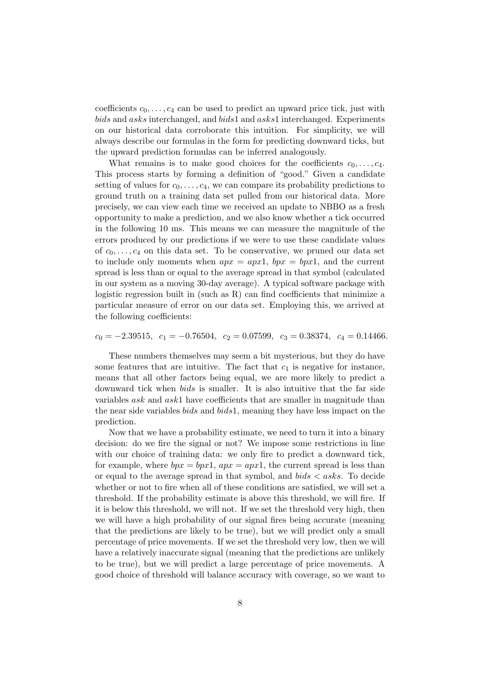coefficients  $c_0, \ldots, c_4$  can be used to predict an upward price tick, just with bids and asks interchanged, and bids1 and asks1 interchanged. Experiments on our historical data corroborate this intuition. For simplicity, we will always describe our formulas in the form for predicting downward ticks, but the upward prediction formulas can be inferred analogously.

What remains is to make good choices for the coefficients  $c_0, \ldots, c_4$ . This process starts by forming a definition of "good." Given a candidate setting of values for  $c_0, \ldots, c_4$ , we can compare its probability predictions to ground truth on a training data set pulled from our historical data. More precisely, we can view each time we received an update to NBBO as a fresh opportunity to make a prediction, and we also know whether a tick occurred in the following 10 ms. This means we can measure the magnitude of the errors produced by our predictions if we were to use these candidate values of  $c_0, \ldots, c_4$  on this data set. To be conservative, we pruned our data set to include only moments when  $apx = apx1$ ,  $bpx = bpx1$ , and the current spread is less than or equal to the average spread in that symbol (calculated in our system as a moving 30-day average). A typical software package with logistic regression built in (such as R) can find coefficients that minimize a particular measure of error on our data set. Employing this, we arrived at the following coefficients:

#### $c_0 = -2.39515$ ,  $c_1 = -0.76504$ ,  $c_2 = 0.07599$ ,  $c_3 = 0.38374$ ,  $c_4 = 0.14466$ .

These numbers themselves may seem a bit mysterious, but they do have some features that are intuitive. The fact that  $c_1$  is negative for instance, means that all other factors being equal, we are more likely to predict a downward tick when *bids* is smaller. It is also intuitive that the far side variables *ask* and *ask*1 have coefficients that are smaller in magnitude than the near side variables bids and bids1, meaning they have less impact on the prediction.

Now that we have a probability estimate, we need to turn it into a binary decision: do we fire the signal or not? We impose some restrictions in line with our choice of training data: we only fire to predict a downward tick, for example, where  $byx = byx1$ ,  $apx = apx1$ , the current spread is less than or equal to the average spread in that symbol, and  $bids < asks$ . To decide whether or not to fire when all of these conditions are satisfied, we will set a threshold. If the probability estimate is above this threshold, we will fire. If it is below this threshold, we will not. If we set the threshold very high, then we will have a high probability of our signal fires being accurate (meaning that the predictions are likely to be true), but we will predict only a small percentage of price movements. If we set the threshold very low, then we will have a relatively inaccurate signal (meaning that the predictions are unlikely to be true), but we will predict a large percentage of price movements. A good choice of threshold will balance accuracy with coverage, so we want to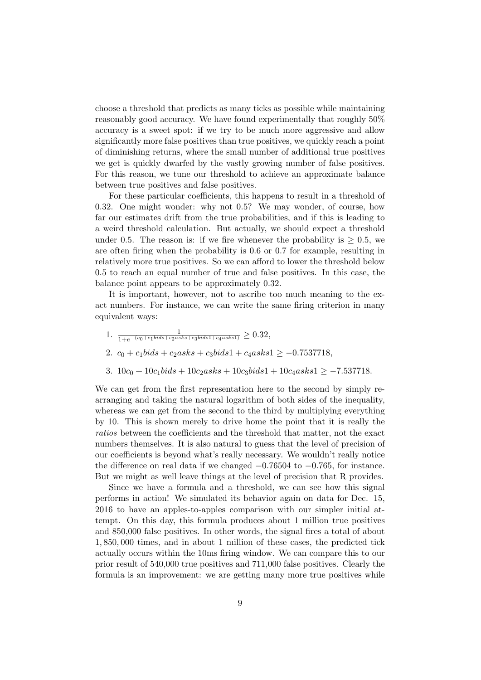choose a threshold that predicts as many ticks as possible while maintaining reasonably good accuracy. We have found experimentally that roughly 50% accuracy is a sweet spot: if we try to be much more aggressive and allow significantly more false positives than true positives, we quickly reach a point of diminishing returns, where the small number of additional true positives we get is quickly dwarfed by the vastly growing number of false positives. For this reason, we tune our threshold to achieve an approximate balance between true positives and false positives.

For these particular coefficients, this happens to result in a threshold of 0.32. One might wonder: why not 0.5? We may wonder, of course, how far our estimates drift from the true probabilities, and if this is leading to a weird threshold calculation. But actually, we should expect a threshold under 0.5. The reason is: if we fire whenever the probability is  $> 0.5$ , we are often firing when the probability is 0.6 or 0.7 for example, resulting in relatively more true positives. So we can afford to lower the threshold below 0.5 to reach an equal number of true and false positives. In this case, the balance point appears to be approximately 0.32.

It is important, however, not to ascribe too much meaning to the exact numbers. For instance, we can write the same firing criterion in many equivalent ways:

- 1.  $\frac{1}{1+e^{-(c_0+c_1bids+c_2aks+c_3bids1+c_4asks1)}} \geq 0.32,$
- 2.  $c_0 + c_1bids + c_2asks + c_3bids1 + c_4asks1 \ge -0.7537718$ ,
- 3.  $10c_0 + 10c_1bids + 10c_2asks + 10c_3bids1 + 10c_4 asks1 \ge -7.537718$ .

We can get from the first representation here to the second by simply rearranging and taking the natural logarithm of both sides of the inequality, whereas we can get from the second to the third by multiplying everything by 10. This is shown merely to drive home the point that it is really the ratios between the coefficients and the threshold that matter, not the exact numbers themselves. It is also natural to guess that the level of precision of our coefficients is beyond what's really necessary. We wouldn't really notice the difference on real data if we changed  $-0.76504$  to  $-0.765$ , for instance. But we might as well leave things at the level of precision that R provides.

Since we have a formula and a threshold, we can see how this signal performs in action! We simulated its behavior again on data for Dec. 15, 2016 to have an apples-to-apples comparison with our simpler initial attempt. On this day, this formula produces about 1 million true positives and 850,000 false positives. In other words, the signal fires a total of about 1, 850, 000 times, and in about 1 million of these cases, the predicted tick actually occurs within the 10ms firing window. We can compare this to our prior result of 540,000 true positives and 711,000 false positives. Clearly the formula is an improvement: we are getting many more true positives while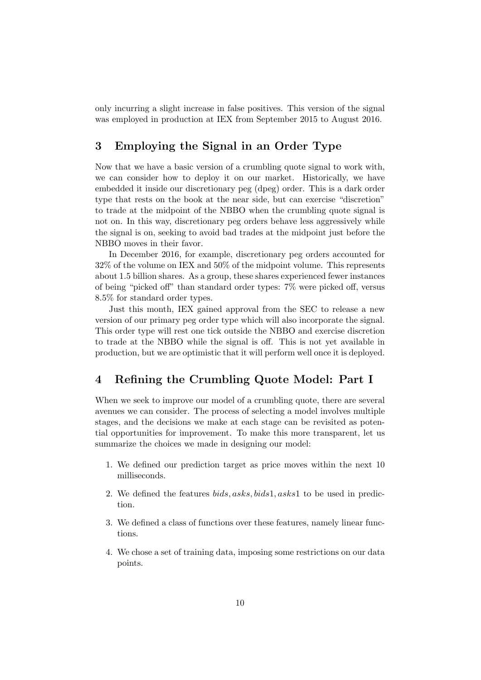only incurring a slight increase in false positives. This version of the signal was employed in production at IEX from September 2015 to August 2016.

# 3 Employing the Signal in an Order Type

Now that we have a basic version of a crumbling quote signal to work with, we can consider how to deploy it on our market. Historically, we have embedded it inside our discretionary peg (dpeg) order. This is a dark order type that rests on the book at the near side, but can exercise "discretion" to trade at the midpoint of the NBBO when the crumbling quote signal is not on. In this way, discretionary peg orders behave less aggressively while the signal is on, seeking to avoid bad trades at the midpoint just before the NBBO moves in their favor.

In December 2016, for example, discretionary peg orders accounted for 32% of the volume on IEX and 50% of the midpoint volume. This represents about 1.5 billion shares. As a group, these shares experienced fewer instances of being "picked off" than standard order types: 7% were picked off, versus 8.5% for standard order types.

Just this month, IEX gained approval from the SEC to release a new version of our primary peg order type which will also incorporate the signal. This order type will rest one tick outside the NBBO and exercise discretion to trade at the NBBO while the signal is off. This is not yet available in production, but we are optimistic that it will perform well once it is deployed.

# 4 Refining the Crumbling Quote Model: Part I

When we seek to improve our model of a crumbling quote, there are several avenues we can consider. The process of selecting a model involves multiple stages, and the decisions we make at each stage can be revisited as potential opportunities for improvement. To make this more transparent, let us summarize the choices we made in designing our model:

- 1. We defined our prediction target as price moves within the next 10 milliseconds.
- 2. We defined the features bids, asks, bids1, asks1 to be used in prediction.
- 3. We defined a class of functions over these features, namely linear functions.
- 4. We chose a set of training data, imposing some restrictions on our data points.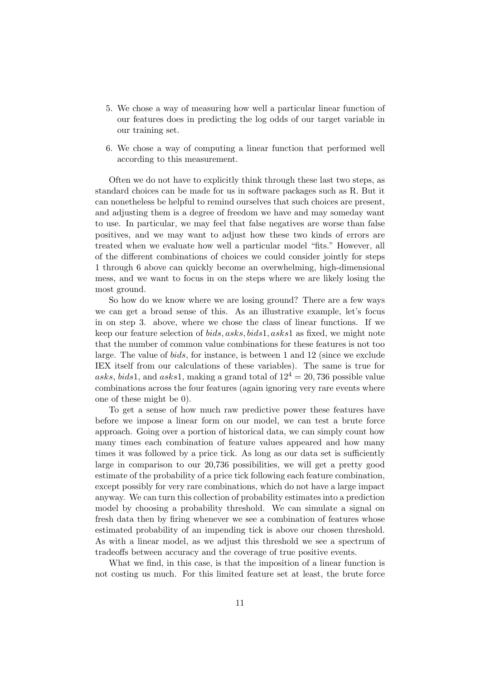- 5. We chose a way of measuring how well a particular linear function of our features does in predicting the log odds of our target variable in our training set.
- 6. We chose a way of computing a linear function that performed well according to this measurement.

Often we do not have to explicitly think through these last two steps, as standard choices can be made for us in software packages such as R. But it can nonetheless be helpful to remind ourselves that such choices are present, and adjusting them is a degree of freedom we have and may someday want to use. In particular, we may feel that false negatives are worse than false positives, and we may want to adjust how these two kinds of errors are treated when we evaluate how well a particular model "fits." However, all of the different combinations of choices we could consider jointly for steps 1 through 6 above can quickly become an overwhelming, high-dimensional mess, and we want to focus in on the steps where we are likely losing the most ground.

So how do we know where we are losing ground? There are a few ways we can get a broad sense of this. As an illustrative example, let's focus in on step 3. above, where we chose the class of linear functions. If we keep our feature selection of bids, asks, bids1, asks1 as fixed, we might note that the number of common value combinations for these features is not too large. The value of bids, for instance, is between 1 and 12 (since we exclude IEX itself from our calculations of these variables). The same is true for asks, bids1, and asks1, making a grand total of  $12^4 = 20,736$  possible value combinations across the four features (again ignoring very rare events where one of these might be 0).

To get a sense of how much raw predictive power these features have before we impose a linear form on our model, we can test a brute force approach. Going over a portion of historical data, we can simply count how many times each combination of feature values appeared and how many times it was followed by a price tick. As long as our data set is sufficiently large in comparison to our 20,736 possibilities, we will get a pretty good estimate of the probability of a price tick following each feature combination, except possibly for very rare combinations, which do not have a large impact anyway. We can turn this collection of probability estimates into a prediction model by choosing a probability threshold. We can simulate a signal on fresh data then by firing whenever we see a combination of features whose estimated probability of an impending tick is above our chosen threshold. As with a linear model, as we adjust this threshold we see a spectrum of tradeoffs between accuracy and the coverage of true positive events.

What we find, in this case, is that the imposition of a linear function is not costing us much. For this limited feature set at least, the brute force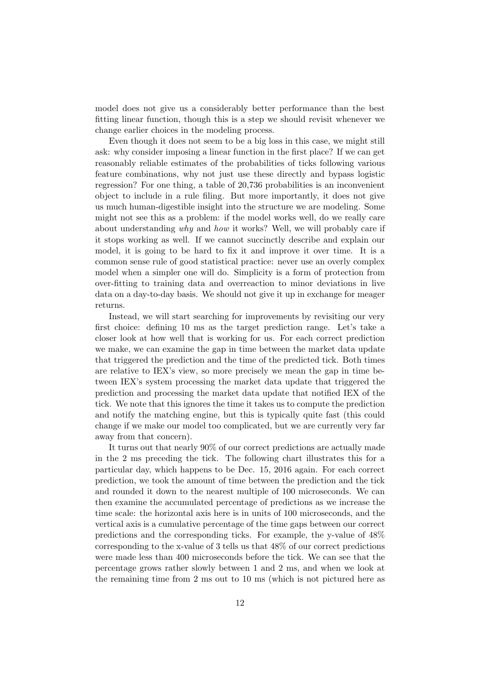model does not give us a considerably better performance than the best fitting linear function, though this is a step we should revisit whenever we change earlier choices in the modeling process.

Even though it does not seem to be a big loss in this case, we might still ask: why consider imposing a linear function in the first place? If we can get reasonably reliable estimates of the probabilities of ticks following various feature combinations, why not just use these directly and bypass logistic regression? For one thing, a table of 20,736 probabilities is an inconvenient object to include in a rule filing. But more importantly, it does not give us much human-digestible insight into the structure we are modeling. Some might not see this as a problem: if the model works well, do we really care about understanding why and how it works? Well, we will probably care if it stops working as well. If we cannot succinctly describe and explain our model, it is going to be hard to fix it and improve it over time. It is a common sense rule of good statistical practice: never use an overly complex model when a simpler one will do. Simplicity is a form of protection from over-fitting to training data and overreaction to minor deviations in live data on a day-to-day basis. We should not give it up in exchange for meager returns.

Instead, we will start searching for improvements by revisiting our very first choice: defining 10 ms as the target prediction range. Let's take a closer look at how well that is working for us. For each correct prediction we make, we can examine the gap in time between the market data update that triggered the prediction and the time of the predicted tick. Both times are relative to IEX's view, so more precisely we mean the gap in time between IEX's system processing the market data update that triggered the prediction and processing the market data update that notified IEX of the tick. We note that this ignores the time it takes us to compute the prediction and notify the matching engine, but this is typically quite fast (this could change if we make our model too complicated, but we are currently very far away from that concern).

It turns out that nearly 90% of our correct predictions are actually made in the 2 ms preceding the tick. The following chart illustrates this for a particular day, which happens to be Dec. 15, 2016 again. For each correct prediction, we took the amount of time between the prediction and the tick and rounded it down to the nearest multiple of 100 microseconds. We can then examine the accumulated percentage of predictions as we increase the time scale: the horizontal axis here is in units of 100 microseconds, and the vertical axis is a cumulative percentage of the time gaps between our correct predictions and the corresponding ticks. For example, the y-value of 48% corresponding to the x-value of 3 tells us that 48% of our correct predictions were made less than 400 microseconds before the tick. We can see that the percentage grows rather slowly between 1 and 2 ms, and when we look at the remaining time from 2 ms out to 10 ms (which is not pictured here as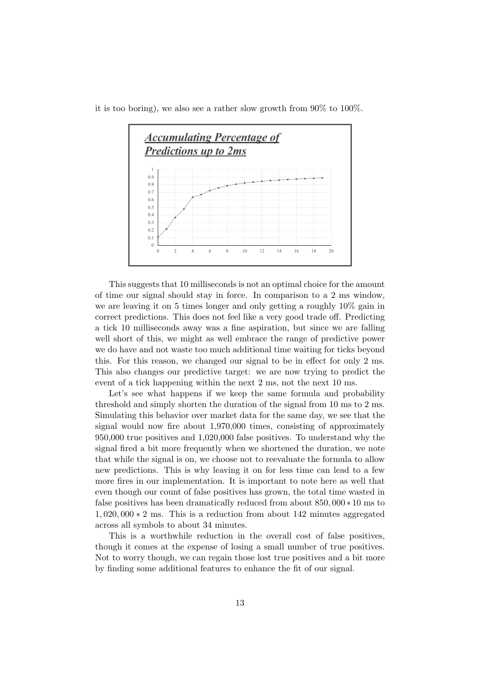it is too boring), we also see a rather slow growth from 90% to 100%.



This suggests that 10 milliseconds is not an optimal choice for the amount of time our signal should stay in force. In comparison to a 2 ms window, we are leaving it on 5 times longer and only getting a roughly 10% gain in correct predictions. This does not feel like a very good trade off. Predicting a tick 10 milliseconds away was a fine aspiration, but since we are falling well short of this, we might as well embrace the range of predictive power we do have and not waste too much additional time waiting for ticks beyond this. For this reason, we changed our signal to be in effect for only 2 ms. This also changes our predictive target: we are now trying to predict the event of a tick happening within the next 2 ms, not the next 10 ms.

Let's see what happens if we keep the same formula and probability threshold and simply shorten the duration of the signal from 10 ms to 2 ms. Simulating this behavior over market data for the same day, we see that the signal would now fire about 1,970,000 times, consisting of approximately 950,000 true positives and 1,020,000 false positives. To understand why the signal fired a bit more frequently when we shortened the duration, we note that while the signal is on, we choose not to reevaluate the formula to allow new predictions. This is why leaving it on for less time can lead to a few more fires in our implementation. It is important to note here as well that even though our count of false positives has grown, the total time wasted in false positives has been dramatically reduced from about 850, 000 ∗ 10 ms to 1, 020, 000 ∗ 2 ms. This is a reduction from about 142 minutes aggregated across all symbols to about 34 minutes.

This is a worthwhile reduction in the overall cost of false positives, though it comes at the expense of losing a small number of true positives. Not to worry though, we can regain those lost true positives and a bit more by finding some additional features to enhance the fit of our signal.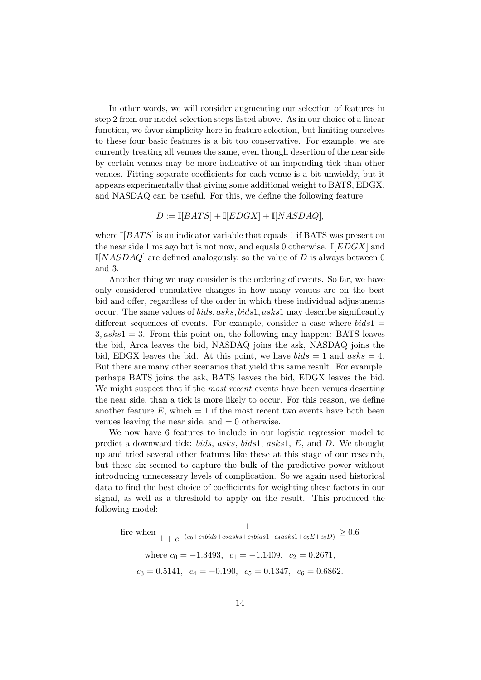In other words, we will consider augmenting our selection of features in step 2 from our model selection steps listed above. As in our choice of a linear function, we favor simplicity here in feature selection, but limiting ourselves to these four basic features is a bit too conservative. For example, we are currently treating all venues the same, even though desertion of the near side by certain venues may be more indicative of an impending tick than other venues. Fitting separate coefficients for each venue is a bit unwieldy, but it appears experimentally that giving some additional weight to BATS, EDGX, and NASDAQ can be useful. For this, we define the following feature:

$$
D := \mathbb{I}[BATS] + \mathbb{I}[EDGX] + \mathbb{I}[NASDAQ],
$$

where  $\mathbb{I}[BATS]$  is an indicator variable that equals 1 if BATS was present on the near side 1 ms ago but is not now, and equals 0 otherwise.  $\mathbb{I}[EDGX]$  and  $\mathbb{I}[NASDAQ]$  are defined analogously, so the value of D is always between 0 and 3.

Another thing we may consider is the ordering of events. So far, we have only considered cumulative changes in how many venues are on the best bid and offer, regardless of the order in which these individual adjustments occur. The same values of bids, asks, bids1, asks1 may describe significantly different sequences of events. For example, consider a case where  $bids1 =$  $3, asks1 = 3$ . From this point on, the following may happen: BATS leaves the bid, Arca leaves the bid, NASDAQ joins the ask, NASDAQ joins the bid, EDGX leaves the bid. At this point, we have  $bids = 1$  and  $asks = 4$ . But there are many other scenarios that yield this same result. For example, perhaps BATS joins the ask, BATS leaves the bid, EDGX leaves the bid. We might suspect that if the *most recent* events have been venues deserting the near side, than a tick is more likely to occur. For this reason, we define another feature  $E$ , which  $= 1$  if the most recent two events have both been venues leaving the near side, and  $= 0$  otherwise.

We now have 6 features to include in our logistic regression model to predict a downward tick: bids, asks, bids1, asks1, E, and D. We thought up and tried several other features like these at this stage of our research, but these six seemed to capture the bulk of the predictive power without introducing unnecessary levels of complication. So we again used historical data to find the best choice of coefficients for weighting these factors in our signal, as well as a threshold to apply on the result. This produced the following model:

fire when

\n
$$
\frac{1}{1 + e^{-(c_0 + c_1 \text{bids} + c_2 \text{asks} + c_3 \text{bids} + c_4 \text{asks} + c_5 E + c_6 D)}} \geq 0.6
$$
\nwhere

\n
$$
c_0 = -1.3493, \quad c_1 = -1.1409, \quad c_2 = 0.2671,
$$
\n
$$
c_3 = 0.5141, \quad c_4 = -0.190, \quad c_5 = 0.1347, \quad c_6 = 0.6862.
$$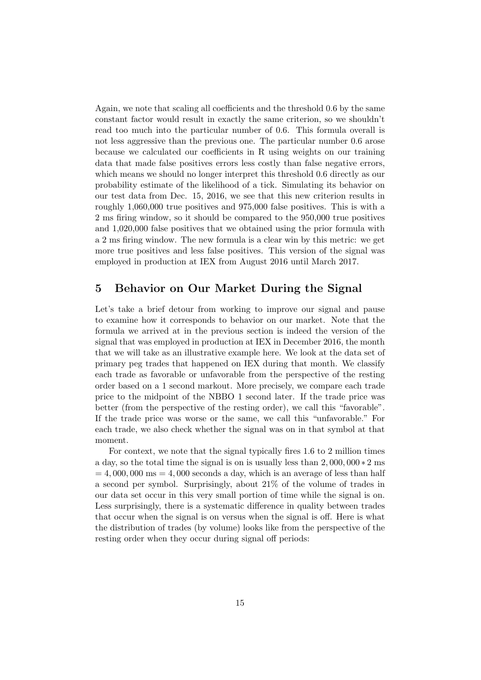Again, we note that scaling all coefficients and the threshold 0.6 by the same constant factor would result in exactly the same criterion, so we shouldn't read too much into the particular number of 0.6. This formula overall is not less aggressive than the previous one. The particular number 0.6 arose because we calculated our coefficients in R using weights on our training data that made false positives errors less costly than false negative errors, which means we should no longer interpret this threshold 0.6 directly as our probability estimate of the likelihood of a tick. Simulating its behavior on our test data from Dec. 15, 2016, we see that this new criterion results in roughly 1,060,000 true positives and 975,000 false positives. This is with a 2 ms firing window, so it should be compared to the 950,000 true positives and 1,020,000 false positives that we obtained using the prior formula with a 2 ms firing window. The new formula is a clear win by this metric: we get more true positives and less false positives. This version of the signal was employed in production at IEX from August 2016 until March 2017.

### 5 Behavior on Our Market During the Signal

Let's take a brief detour from working to improve our signal and pause to examine how it corresponds to behavior on our market. Note that the formula we arrived at in the previous section is indeed the version of the signal that was employed in production at IEX in December 2016, the month that we will take as an illustrative example here. We look at the data set of primary peg trades that happened on IEX during that month. We classify each trade as favorable or unfavorable from the perspective of the resting order based on a 1 second markout. More precisely, we compare each trade price to the midpoint of the NBBO 1 second later. If the trade price was better (from the perspective of the resting order), we call this "favorable". If the trade price was worse or the same, we call this "unfavorable." For each trade, we also check whether the signal was on in that symbol at that moment.

For context, we note that the signal typically fires 1.6 to 2 million times a day, so the total time the signal is on is usually less than  $2,000,000 * 2$  ms  $= 4,000,000 \text{ ms} = 4,000 \text{ seconds}$  a day, which is an average of less than half a second per symbol. Surprisingly, about 21% of the volume of trades in our data set occur in this very small portion of time while the signal is on. Less surprisingly, there is a systematic difference in quality between trades that occur when the signal is on versus when the signal is off. Here is what the distribution of trades (by volume) looks like from the perspective of the resting order when they occur during signal off periods: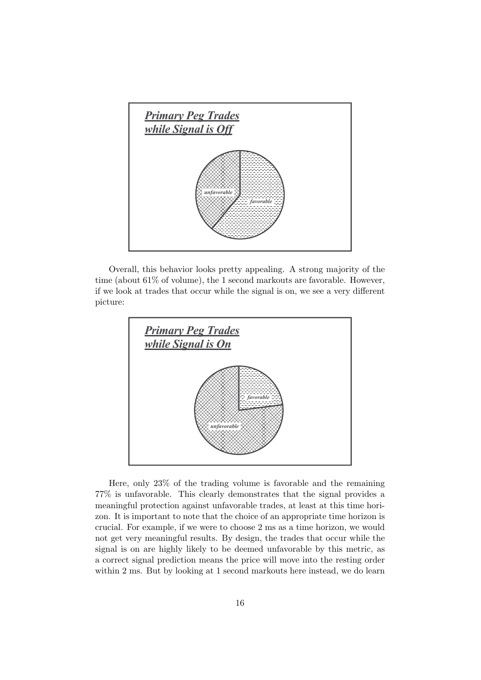

Overall, this behavior looks pretty appealing. A strong majority of the time (about 61% of volume), the 1 second markouts are favorable. However, if we look at trades that occur while the signal is on, we see a very different picture:



Here, only 23% of the trading volume is favorable and the remaining 77% is unfavorable. This clearly demonstrates that the signal provides a meaningful protection against unfavorable trades, at least at this time horizon. It is important to note that the choice of an appropriate time horizon is crucial. For example, if we were to choose 2 ms as a time horizon, we would not get very meaningful results. By design, the trades that occur while the signal is on are highly likely to be deemed unfavorable by this metric, as a correct signal prediction means the price will move into the resting order within 2 ms. But by looking at 1 second markouts here instead, we do learn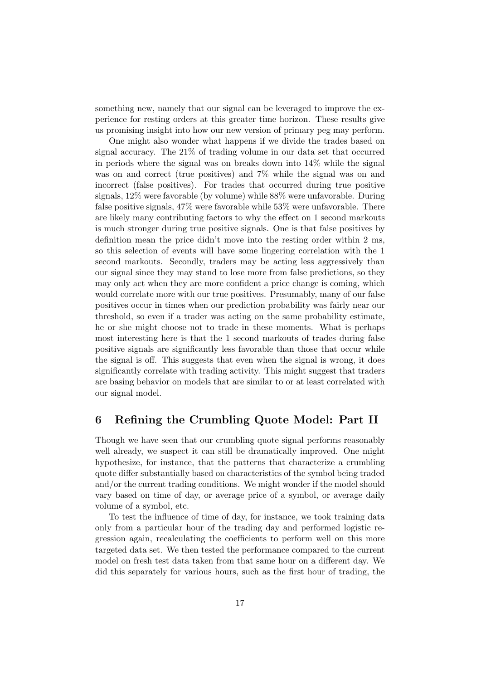something new, namely that our signal can be leveraged to improve the experience for resting orders at this greater time horizon. These results give us promising insight into how our new version of primary peg may perform.

One might also wonder what happens if we divide the trades based on signal accuracy. The 21% of trading volume in our data set that occurred in periods where the signal was on breaks down into 14% while the signal was on and correct (true positives) and 7% while the signal was on and incorrect (false positives). For trades that occurred during true positive signals, 12% were favorable (by volume) while 88% were unfavorable. During false positive signals, 47% were favorable while 53% were unfavorable. There are likely many contributing factors to why the effect on 1 second markouts is much stronger during true positive signals. One is that false positives by definition mean the price didn't move into the resting order within 2 ms, so this selection of events will have some lingering correlation with the 1 second markouts. Secondly, traders may be acting less aggressively than our signal since they may stand to lose more from false predictions, so they may only act when they are more confident a price change is coming, which would correlate more with our true positives. Presumably, many of our false positives occur in times when our prediction probability was fairly near our threshold, so even if a trader was acting on the same probability estimate, he or she might choose not to trade in these moments. What is perhaps most interesting here is that the 1 second markouts of trades during false positive signals are significantly less favorable than those that occur while the signal is off. This suggests that even when the signal is wrong, it does significantly correlate with trading activity. This might suggest that traders are basing behavior on models that are similar to or at least correlated with our signal model.

# 6 Refining the Crumbling Quote Model: Part II

Though we have seen that our crumbling quote signal performs reasonably well already, we suspect it can still be dramatically improved. One might hypothesize, for instance, that the patterns that characterize a crumbling quote differ substantially based on characteristics of the symbol being traded and/or the current trading conditions. We might wonder if the model should vary based on time of day, or average price of a symbol, or average daily volume of a symbol, etc.

To test the influence of time of day, for instance, we took training data only from a particular hour of the trading day and performed logistic regression again, recalculating the coefficients to perform well on this more targeted data set. We then tested the performance compared to the current model on fresh test data taken from that same hour on a different day. We did this separately for various hours, such as the first hour of trading, the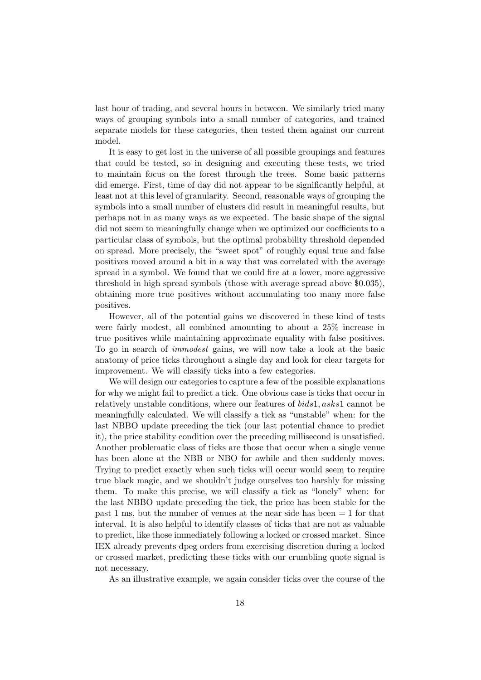last hour of trading, and several hours in between. We similarly tried many ways of grouping symbols into a small number of categories, and trained separate models for these categories, then tested them against our current model.

It is easy to get lost in the universe of all possible groupings and features that could be tested, so in designing and executing these tests, we tried to maintain focus on the forest through the trees. Some basic patterns did emerge. First, time of day did not appear to be significantly helpful, at least not at this level of granularity. Second, reasonable ways of grouping the symbols into a small number of clusters did result in meaningful results, but perhaps not in as many ways as we expected. The basic shape of the signal did not seem to meaningfully change when we optimized our coefficients to a particular class of symbols, but the optimal probability threshold depended on spread. More precisely, the "sweet spot" of roughly equal true and false positives moved around a bit in a way that was correlated with the average spread in a symbol. We found that we could fire at a lower, more aggressive threshold in high spread symbols (those with average spread above \$0.035), obtaining more true positives without accumulating too many more false positives.

However, all of the potential gains we discovered in these kind of tests were fairly modest, all combined amounting to about a 25% increase in true positives while maintaining approximate equality with false positives. To go in search of immodest gains, we will now take a look at the basic anatomy of price ticks throughout a single day and look for clear targets for improvement. We will classify ticks into a few categories.

We will design our categories to capture a few of the possible explanations for why we might fail to predict a tick. One obvious case is ticks that occur in relatively unstable conditions, where our features of bids1, asks1 cannot be meaningfully calculated. We will classify a tick as "unstable" when: for the last NBBO update preceding the tick (our last potential chance to predict it), the price stability condition over the preceding millisecond is unsatisfied. Another problematic class of ticks are those that occur when a single venue has been alone at the NBB or NBO for awhile and then suddenly moves. Trying to predict exactly when such ticks will occur would seem to require true black magic, and we shouldn't judge ourselves too harshly for missing them. To make this precise, we will classify a tick as "lonely" when: for the last NBBO update preceding the tick, the price has been stable for the past 1 ms, but the number of venues at the near side has been = 1 for that interval. It is also helpful to identify classes of ticks that are not as valuable to predict, like those immediately following a locked or crossed market. Since IEX already prevents dpeg orders from exercising discretion during a locked or crossed market, predicting these ticks with our crumbling quote signal is not necessary.

As an illustrative example, we again consider ticks over the course of the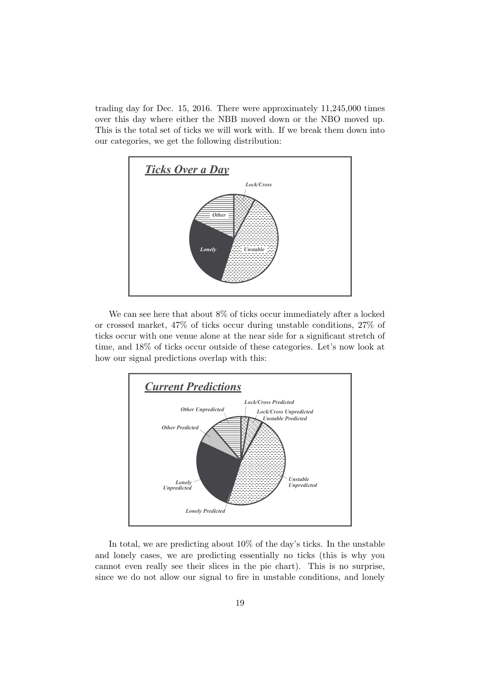trading day for Dec. 15, 2016. There were approximately 11,245,000 times over this day where either the NBB moved down or the NBO moved up. This is the total set of ticks we will work with. If we break them down into our categories, we get the following distribution:



We can see here that about  $8\%$  of ticks occur immediately after a locked or crossed market, 47% of ticks occur during unstable conditions, 27% of ticks occur with one venue alone at the near side for a significant stretch of time, and 18% of ticks occur outside of these categories. Let's now look at how our signal predictions overlap with this:



In total, we are predicting about 10% of the day's ticks. In the unstable and lonely cases, we are predicting essentially no ticks (this is why you cannot even really see their slices in the pie chart). This is no surprise, since we do not allow our signal to fire in unstable conditions, and lonely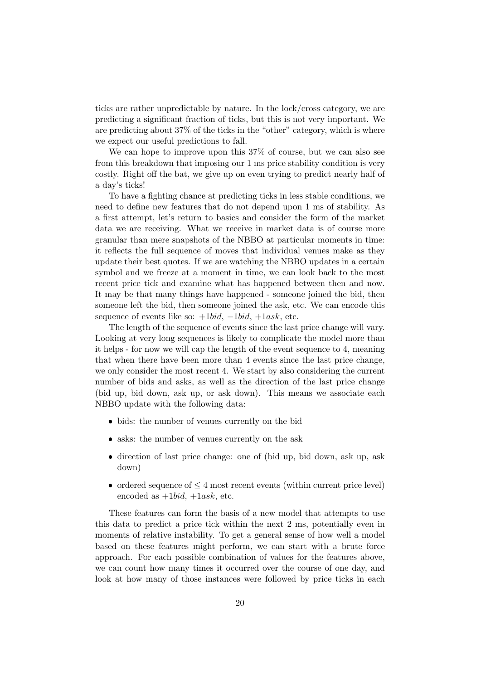ticks are rather unpredictable by nature. In the lock/cross category, we are predicting a significant fraction of ticks, but this is not very important. We are predicting about 37% of the ticks in the "other" category, which is where we expect our useful predictions to fall.

We can hope to improve upon this 37% of course, but we can also see from this breakdown that imposing our 1 ms price stability condition is very costly. Right off the bat, we give up on even trying to predict nearly half of a day's ticks!

To have a fighting chance at predicting ticks in less stable conditions, we need to define new features that do not depend upon 1 ms of stability. As a first attempt, let's return to basics and consider the form of the market data we are receiving. What we receive in market data is of course more granular than mere snapshots of the NBBO at particular moments in time: it reflects the full sequence of moves that individual venues make as they update their best quotes. If we are watching the NBBO updates in a certain symbol and we freeze at a moment in time, we can look back to the most recent price tick and examine what has happened between then and now. It may be that many things have happened - someone joined the bid, then someone left the bid, then someone joined the ask, etc. We can encode this sequence of events like so:  $+1bid, -1bid, +1ask, etc.$ 

The length of the sequence of events since the last price change will vary. Looking at very long sequences is likely to complicate the model more than it helps - for now we will cap the length of the event sequence to 4, meaning that when there have been more than 4 events since the last price change, we only consider the most recent 4. We start by also considering the current number of bids and asks, as well as the direction of the last price change (bid up, bid down, ask up, or ask down). This means we associate each NBBO update with the following data:

- bids: the number of venues currently on the bid
- asks: the number of venues currently on the ask
- direction of last price change: one of (bid up, bid down, ask up, ask down)
- ordered sequence of  $\leq 4$  most recent events (within current price level) encoded as  $+1bid, +1ask, etc.$

These features can form the basis of a new model that attempts to use this data to predict a price tick within the next 2 ms, potentially even in moments of relative instability. To get a general sense of how well a model based on these features might perform, we can start with a brute force approach. For each possible combination of values for the features above, we can count how many times it occurred over the course of one day, and look at how many of those instances were followed by price ticks in each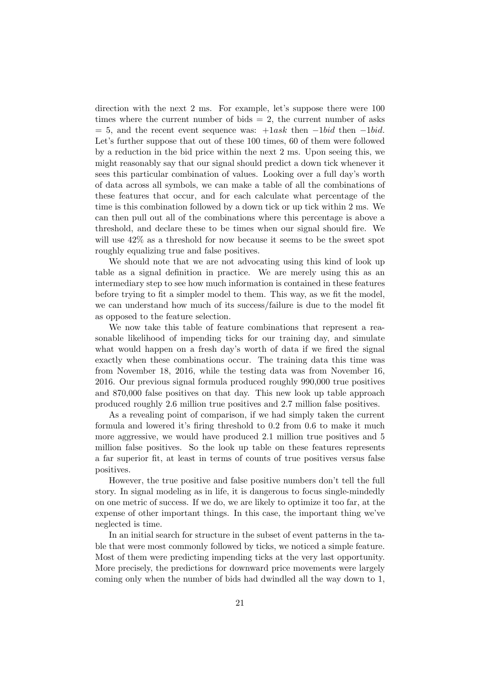direction with the next 2 ms. For example, let's suppose there were 100 times where the current number of bids  $= 2$ , the current number of asks  $= 5$ , and the recent event sequence was:  $+1ask$  then  $-1bid$  then  $-1bid$ . Let's further suppose that out of these 100 times, 60 of them were followed by a reduction in the bid price within the next 2 ms. Upon seeing this, we might reasonably say that our signal should predict a down tick whenever it sees this particular combination of values. Looking over a full day's worth of data across all symbols, we can make a table of all the combinations of these features that occur, and for each calculate what percentage of the time is this combination followed by a down tick or up tick within 2 ms. We can then pull out all of the combinations where this percentage is above a threshold, and declare these to be times when our signal should fire. We will use  $42\%$  as a threshold for now because it seems to be the sweet spot roughly equalizing true and false positives.

We should note that we are not advocating using this kind of look up table as a signal definition in practice. We are merely using this as an intermediary step to see how much information is contained in these features before trying to fit a simpler model to them. This way, as we fit the model, we can understand how much of its success/failure is due to the model fit as opposed to the feature selection.

We now take this table of feature combinations that represent a reasonable likelihood of impending ticks for our training day, and simulate what would happen on a fresh day's worth of data if we fired the signal exactly when these combinations occur. The training data this time was from November 18, 2016, while the testing data was from November 16, 2016. Our previous signal formula produced roughly 990,000 true positives and 870,000 false positives on that day. This new look up table approach produced roughly 2.6 million true positives and 2.7 million false positives.

As a revealing point of comparison, if we had simply taken the current formula and lowered it's firing threshold to 0.2 from 0.6 to make it much more aggressive, we would have produced 2.1 million true positives and 5 million false positives. So the look up table on these features represents a far superior fit, at least in terms of counts of true positives versus false positives.

However, the true positive and false positive numbers don't tell the full story. In signal modeling as in life, it is dangerous to focus single-mindedly on one metric of success. If we do, we are likely to optimize it too far, at the expense of other important things. In this case, the important thing we've neglected is time.

In an initial search for structure in the subset of event patterns in the table that were most commonly followed by ticks, we noticed a simple feature. Most of them were predicting impending ticks at the very last opportunity. More precisely, the predictions for downward price movements were largely coming only when the number of bids had dwindled all the way down to 1,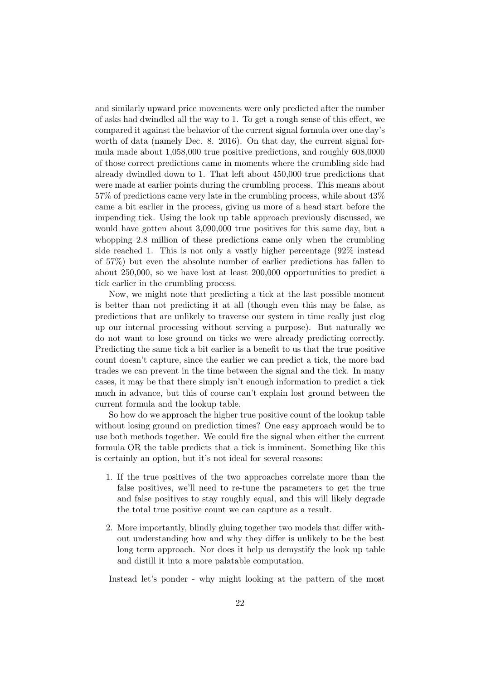and similarly upward price movements were only predicted after the number of asks had dwindled all the way to 1. To get a rough sense of this effect, we compared it against the behavior of the current signal formula over one day's worth of data (namely Dec. 8. 2016). On that day, the current signal formula made about 1,058,000 true positive predictions, and roughly 608,0000 of those correct predictions came in moments where the crumbling side had already dwindled down to 1. That left about 450,000 true predictions that were made at earlier points during the crumbling process. This means about 57% of predictions came very late in the crumbling process, while about 43% came a bit earlier in the process, giving us more of a head start before the impending tick. Using the look up table approach previously discussed, we would have gotten about 3,090,000 true positives for this same day, but a whopping 2.8 million of these predictions came only when the crumbling side reached 1. This is not only a vastly higher percentage (92% instead of 57%) but even the absolute number of earlier predictions has fallen to about 250,000, so we have lost at least 200,000 opportunities to predict a tick earlier in the crumbling process.

Now, we might note that predicting a tick at the last possible moment is better than not predicting it at all (though even this may be false, as predictions that are unlikely to traverse our system in time really just clog up our internal processing without serving a purpose). But naturally we do not want to lose ground on ticks we were already predicting correctly. Predicting the same tick a bit earlier is a benefit to us that the true positive count doesn't capture, since the earlier we can predict a tick, the more bad trades we can prevent in the time between the signal and the tick. In many cases, it may be that there simply isn't enough information to predict a tick much in advance, but this of course can't explain lost ground between the current formula and the lookup table.

So how do we approach the higher true positive count of the lookup table without losing ground on prediction times? One easy approach would be to use both methods together. We could fire the signal when either the current formula OR the table predicts that a tick is imminent. Something like this is certainly an option, but it's not ideal for several reasons:

- 1. If the true positives of the two approaches correlate more than the false positives, we'll need to re-tune the parameters to get the true and false positives to stay roughly equal, and this will likely degrade the total true positive count we can capture as a result.
- 2. More importantly, blindly gluing together two models that differ without understanding how and why they differ is unlikely to be the best long term approach. Nor does it help us demystify the look up table and distill it into a more palatable computation.

Instead let's ponder - why might looking at the pattern of the most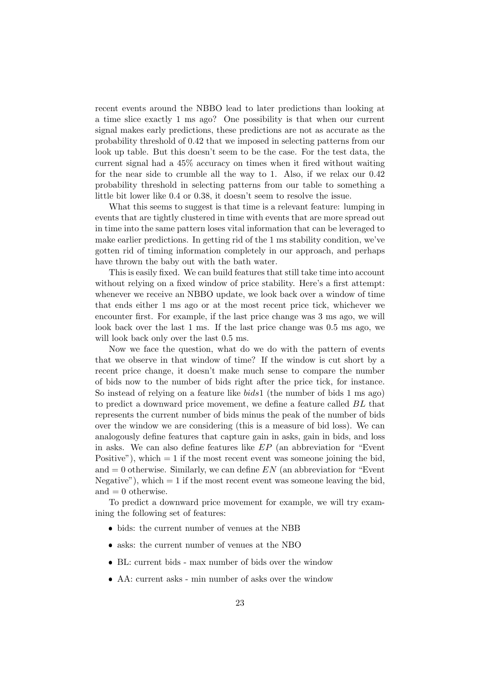recent events around the NBBO lead to later predictions than looking at a time slice exactly 1 ms ago? One possibility is that when our current signal makes early predictions, these predictions are not as accurate as the probability threshold of 0.42 that we imposed in selecting patterns from our look up table. But this doesn't seem to be the case. For the test data, the current signal had a 45% accuracy on times when it fired without waiting for the near side to crumble all the way to 1. Also, if we relax our 0.42 probability threshold in selecting patterns from our table to something a little bit lower like 0.4 or 0.38, it doesn't seem to resolve the issue.

What this seems to suggest is that time is a relevant feature: lumping in events that are tightly clustered in time with events that are more spread out in time into the same pattern loses vital information that can be leveraged to make earlier predictions. In getting rid of the 1 ms stability condition, we've gotten rid of timing information completely in our approach, and perhaps have thrown the baby out with the bath water.

This is easily fixed. We can build features that still take time into account without relying on a fixed window of price stability. Here's a first attempt: whenever we receive an NBBO update, we look back over a window of time that ends either 1 ms ago or at the most recent price tick, whichever we encounter first. For example, if the last price change was 3 ms ago, we will look back over the last 1 ms. If the last price change was 0.5 ms ago, we will look back only over the last  $0.5$  ms.

Now we face the question, what do we do with the pattern of events that we observe in that window of time? If the window is cut short by a recent price change, it doesn't make much sense to compare the number of bids now to the number of bids right after the price tick, for instance. So instead of relying on a feature like bids1 (the number of bids 1 ms ago) to predict a downward price movement, we define a feature called BL that represents the current number of bids minus the peak of the number of bids over the window we are considering (this is a measure of bid loss). We can analogously define features that capture gain in asks, gain in bids, and loss in asks. We can also define features like EP (an abbreviation for "Event Positive"), which  $= 1$  if the most recent event was someone joining the bid, and  $= 0$  otherwise. Similarly, we can define EN (an abbreviation for "Event" Negative"), which  $= 1$  if the most recent event was someone leaving the bid, and  $= 0$  otherwise.

To predict a downward price movement for example, we will try examining the following set of features:

- bids: the current number of venues at the NBB
- asks: the current number of venues at the NBO
- BL: current bids max number of bids over the window
- AA: current asks min number of asks over the window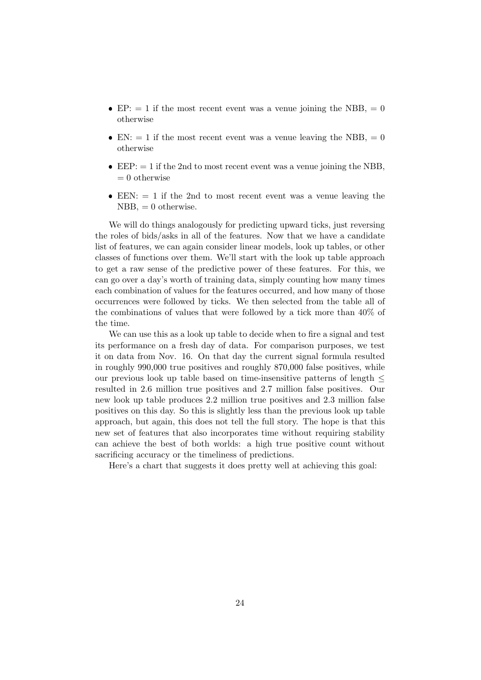- EP:  $= 1$  if the most recent event was a venue joining the NBB,  $= 0$ otherwise
- $\bullet$  EN:  $= 1$  if the most recent event was a venue leaving the NBB,  $= 0$ otherwise
- $\bullet$  EEP:  $= 1$  if the 2nd to most recent event was a venue joining the NBB,  $= 0$  otherwise
- $\bullet$  EEN:  $= 1$  if the 2nd to most recent event was a venue leaving the  $NBB$ , = 0 otherwise.

We will do things analogously for predicting upward ticks, just reversing the roles of bids/asks in all of the features. Now that we have a candidate list of features, we can again consider linear models, look up tables, or other classes of functions over them. We'll start with the look up table approach to get a raw sense of the predictive power of these features. For this, we can go over a day's worth of training data, simply counting how many times each combination of values for the features occurred, and how many of those occurrences were followed by ticks. We then selected from the table all of the combinations of values that were followed by a tick more than 40% of the time.

We can use this as a look up table to decide when to fire a signal and test its performance on a fresh day of data. For comparison purposes, we test it on data from Nov. 16. On that day the current signal formula resulted in roughly 990,000 true positives and roughly 870,000 false positives, while our previous look up table based on time-insensitive patterns of length  $\leq$ resulted in 2.6 million true positives and 2.7 million false positives. Our new look up table produces 2.2 million true positives and 2.3 million false positives on this day. So this is slightly less than the previous look up table approach, but again, this does not tell the full story. The hope is that this new set of features that also incorporates time without requiring stability can achieve the best of both worlds: a high true positive count without sacrificing accuracy or the timeliness of predictions.

Here's a chart that suggests it does pretty well at achieving this goal: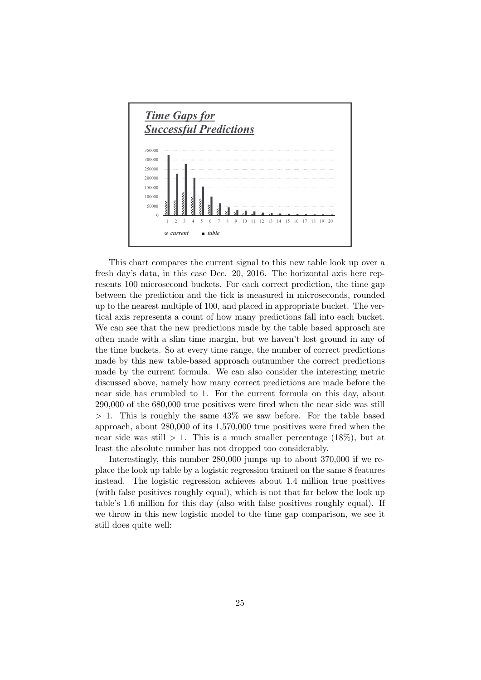

This chart compares the current signal to this new table look up over a fresh day's data, in this case Dec. 20, 2016. The horizontal axis here represents 100 microsecond buckets. For each correct prediction, the time gap between the prediction and the tick is measured in microseconds, rounded up to the nearest multiple of 100, and placed in appropriate bucket. The vertical axis represents a count of how many predictions fall into each bucket. We can see that the new predictions made by the table based approach are often made with a slim time margin, but we haven't lost ground in any of the time buckets. So at every time range, the number of correct predictions made by this new table-based approach outnumber the correct predictions made by the current formula. We can also consider the interesting metric discussed above, namely how many correct predictions are made before the near side has crumbled to 1. For the current formula on this day, about 290,000 of the 680,000 true positives were fired when the near side was still  $> 1$ . This is roughly the same 43% we saw before. For the table based approach, about 280,000 of its 1,570,000 true positives were fired when the near side was still  $> 1$ . This is a much smaller percentage (18%), but at least the absolute number has not dropped too considerably.

Interestingly, this number 280,000 jumps up to about 370,000 if we replace the look up table by a logistic regression trained on the same 8 features instead. The logistic regression achieves about 1.4 million true positives (with false positives roughly equal), which is not that far below the look up table's 1.6 million for this day (also with false positives roughly equal). If we throw in this new logistic model to the time gap comparison, we see it still does quite well: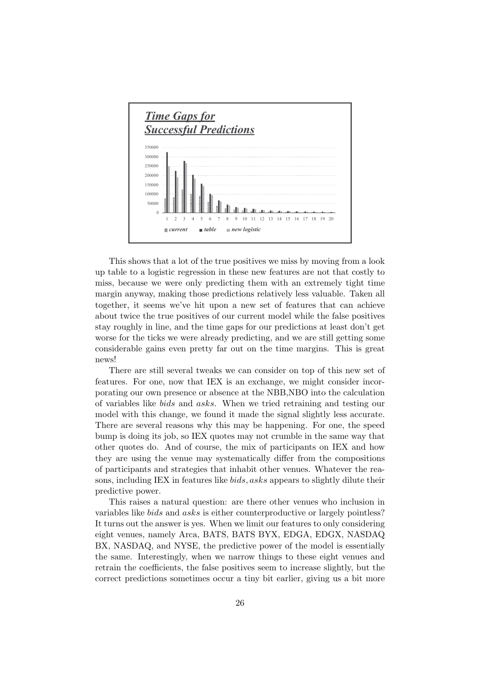

This shows that a lot of the true positives we miss by moving from a look up table to a logistic regression in these new features are not that costly to miss, because we were only predicting them with an extremely tight time margin anyway, making those predictions relatively less valuable. Taken all together, it seems we've hit upon a new set of features that can achieve about twice the true positives of our current model while the false positives stay roughly in line, and the time gaps for our predictions at least don't get worse for the ticks we were already predicting, and we are still getting some considerable gains even pretty far out on the time margins. This is great news!

There are still several tweaks we can consider on top of this new set of features. For one, now that IEX is an exchange, we might consider incorporating our own presence or absence at the NBB,NBO into the calculation of variables like bids and asks. When we tried retraining and testing our model with this change, we found it made the signal slightly less accurate. There are several reasons why this may be happening. For one, the speed bump is doing its job, so IEX quotes may not crumble in the same way that other quotes do. And of course, the mix of participants on IEX and how they are using the venue may systematically differ from the compositions of participants and strategies that inhabit other venues. Whatever the reasons, including IEX in features like bids, asks appears to slightly dilute their predictive power.

This raises a natural question: are there other venues who inclusion in variables like bids and asks is either counterproductive or largely pointless? It turns out the answer is yes. When we limit our features to only considering eight venues, namely Arca, BATS, BATS BYX, EDGA, EDGX, NASDAQ BX, NASDAQ, and NYSE, the predictive power of the model is essentially the same. Interestingly, when we narrow things to these eight venues and retrain the coefficients, the false positives seem to increase slightly, but the correct predictions sometimes occur a tiny bit earlier, giving us a bit more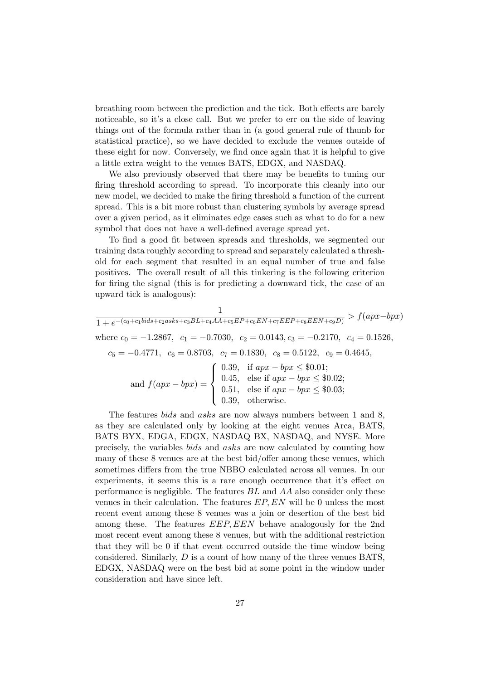breathing room between the prediction and the tick. Both effects are barely noticeable, so it's a close call. But we prefer to err on the side of leaving things out of the formula rather than in (a good general rule of thumb for statistical practice), so we have decided to exclude the venues outside of these eight for now. Conversely, we find once again that it is helpful to give a little extra weight to the venues BATS, EDGX, and NASDAQ.

We also previously observed that there may be benefits to tuning our firing threshold according to spread. To incorporate this cleanly into our new model, we decided to make the firing threshold a function of the current spread. This is a bit more robust than clustering symbols by average spread over a given period, as it eliminates edge cases such as what to do for a new symbol that does not have a well-defined average spread yet.

To find a good fit between spreads and thresholds, we segmented our training data roughly according to spread and separately calculated a threshold for each segment that resulted in an equal number of true and false positives. The overall result of all this tinkering is the following criterion for firing the signal (this is for predicting a downward tick, the case of an upward tick is analogous):

1  $\frac{1}{1+e^{-(c_0+c_1bids+c_2asks+c_3BL+c_4AA+c_5EP+c_6EN+c_7EEP+c_8EEN+c_9D)}} > f(apx-bpx)$ where  $c_0 = -1.2867$ ,  $c_1 = -0.7030$ ,  $c_2 = 0.0143$ ,  $c_3 = -0.2170$ ,  $c_4 = 0.1526$ ,  $c_5 = -0.4771, c_6 = 0.8703, c_7 = 0.1830, c_8 = 0.5122, c_9 = 0.4645,$ and  $f(apx - bpx) =$  $\sqrt{ }$  $\int$  $\overline{\mathcal{L}}$ 0.39, if  $apx - bpx \leq $0.01$ ; 0.45, else if  $apx - bpx \leq $0.02$ ; 0.51, else if  $apx - bpx \leq $0.03;$ 0.39, otherwise.

The features *bids* and *asks* are now always numbers between 1 and 8, as they are calculated only by looking at the eight venues Arca, BATS, BATS BYX, EDGA, EDGX, NASDAQ BX, NASDAQ, and NYSE. More precisely, the variables bids and asks are now calculated by counting how many of these 8 venues are at the best bid/offer among these venues, which sometimes differs from the true NBBO calculated across all venues. In our experiments, it seems this is a rare enough occurrence that it's effect on performance is negligible. The features  $BL$  and  $AA$  also consider only these venues in their calculation. The features EP, EN will be 0 unless the most recent event among these 8 venues was a join or desertion of the best bid among these. The features EEP, EEN behave analogously for the 2nd most recent event among these 8 venues, but with the additional restriction that they will be 0 if that event occurred outside the time window being considered. Similarly, D is a count of how many of the three venues BATS, EDGX, NASDAQ were on the best bid at some point in the window under consideration and have since left.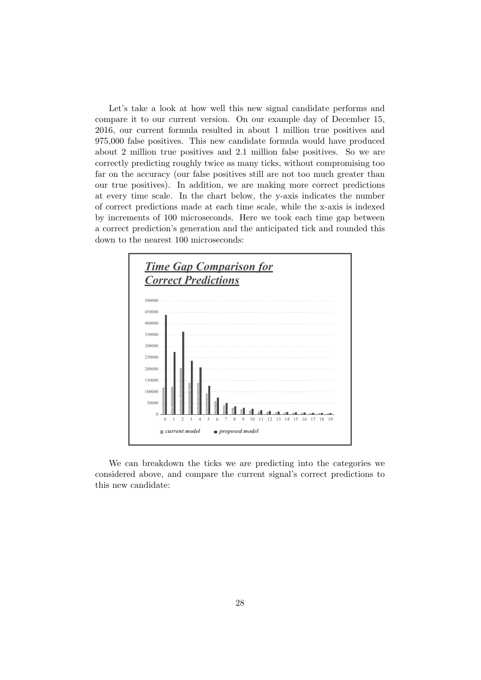Let's take a look at how well this new signal candidate performs and compare it to our current version. On our example day of December 15, 2016, our current formula resulted in about 1 million true positives and 975,000 false positives. This new candidate formula would have produced about 2 million true positives and 2.1 million false positives. So we are correctly predicting roughly twice as many ticks, without compromising too far on the accuracy (our false positives still are not too much greater than our true positives). In addition, we are making more correct predictions at every time scale. In the chart below, the y-axis indicates the number of correct predictions made at each time scale, while the x-axis is indexed by increments of 100 microseconds. Here we took each time gap between a correct prediction's generation and the anticipated tick and rounded this down to the nearest 100 microseconds:



We can breakdown the ticks we are predicting into the categories we considered above, and compare the current signal's correct predictions to this new candidate: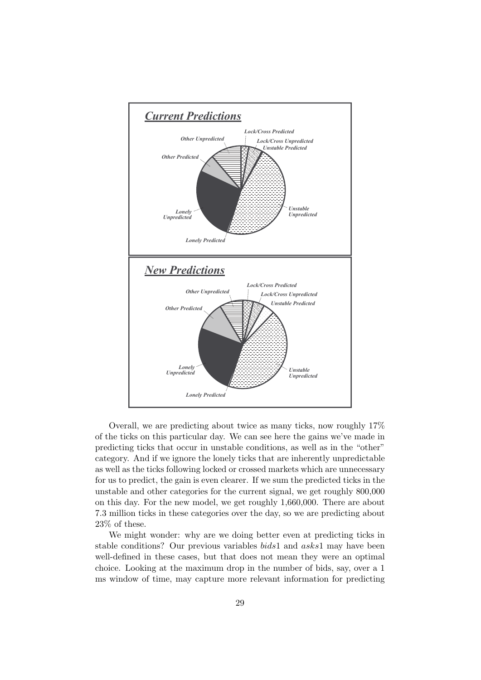

Overall, we are predicting about twice as many ticks, now roughly 17% of the ticks on this particular day. We can see here the gains we've made in predicting ticks that occur in unstable conditions, as well as in the "other" category. And if we ignore the lonely ticks that are inherently unpredictable as well as the ticks following locked or crossed markets which are unnecessary for us to predict, the gain is even clearer. If we sum the predicted ticks in the unstable and other categories for the current signal, we get roughly 800,000 on this day. For the new model, we get roughly 1,660,000. There are about 7.3 million ticks in these categories over the day, so we are predicting about 23% of these.

We might wonder: why are we doing better even at predicting ticks in stable conditions? Our previous variables bids1 and asks1 may have been well-defined in these cases, but that does not mean they were an optimal choice. Looking at the maximum drop in the number of bids, say, over a 1 ms window of time, may capture more relevant information for predicting